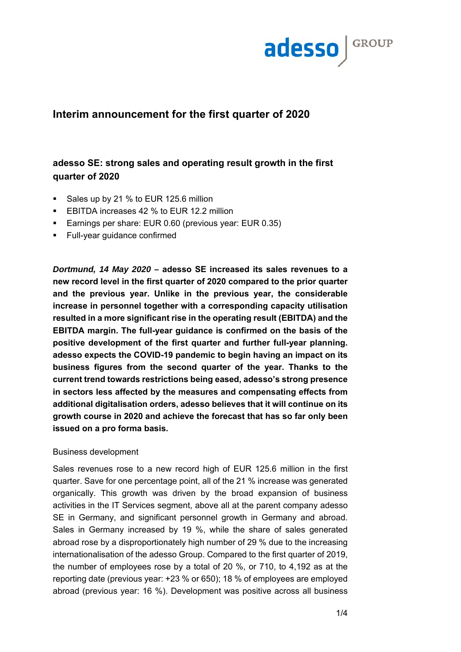

# **Interim announcement for the first quarter of 2020**

# **adesso SE: strong sales and operating result growth in the first quarter of 2020**

- Sales up by 21 % to EUR 125.6 million
- **EBITDA** increases 42 % to EUR 12.2 million
- Earnings per share: EUR 0.60 (previous year: EUR 0.35)
- **Full-year guidance confirmed**

*Dortmund, 14 May 2020 –* **adesso SE increased its sales revenues to a new record level in the first quarter of 2020 compared to the prior quarter and the previous year. Unlike in the previous year, the considerable increase in personnel together with a corresponding capacity utilisation resulted in a more significant rise in the operating result (EBITDA) and the EBITDA margin. The full-year guidance is confirmed on the basis of the positive development of the first quarter and further full-year planning. adesso expects the COVID-19 pandemic to begin having an impact on its business figures from the second quarter of the year. Thanks to the current trend towards restrictions being eased, adesso's strong presence in sectors less affected by the measures and compensating effects from additional digitalisation orders, adesso believes that it will continue on its growth course in 2020 and achieve the forecast that has so far only been issued on a pro forma basis.** 

### Business development

Sales revenues rose to a new record high of EUR 125.6 million in the first quarter. Save for one percentage point, all of the 21 % increase was generated organically. This growth was driven by the broad expansion of business activities in the IT Services segment, above all at the parent company adesso SE in Germany, and significant personnel growth in Germany and abroad. Sales in Germany increased by 19 %, while the share of sales generated abroad rose by a disproportionately high number of 29 % due to the increasing internationalisation of the adesso Group. Compared to the first quarter of 2019, the number of employees rose by a total of 20 %, or 710, to 4,192 as at the reporting date (previous year: +23 % or 650); 18 % of employees are employed abroad (previous year: 16 %). Development was positive across all business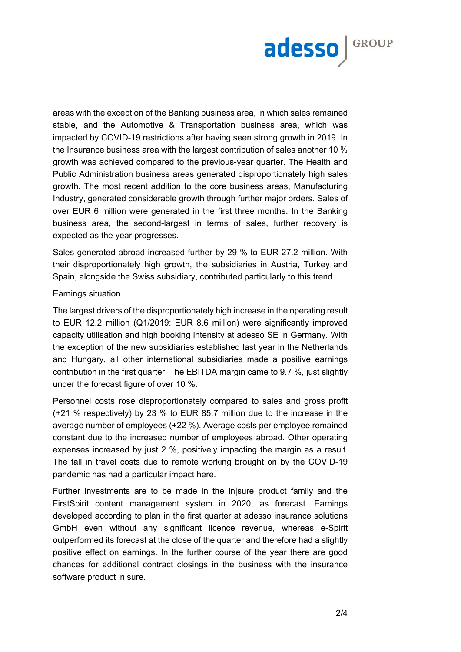

areas with the exception of the Banking business area, in which sales remained stable, and the Automotive & Transportation business area, which was impacted by COVID-19 restrictions after having seen strong growth in 2019. In the Insurance business area with the largest contribution of sales another 10 % growth was achieved compared to the previous-year quarter. The Health and Public Administration business areas generated disproportionately high sales growth. The most recent addition to the core business areas, Manufacturing Industry, generated considerable growth through further major orders. Sales of over EUR 6 million were generated in the first three months. In the Banking business area, the second-largest in terms of sales, further recovery is expected as the year progresses.

Sales generated abroad increased further by 29 % to EUR 27.2 million. With their disproportionately high growth, the subsidiaries in Austria, Turkey and Spain, alongside the Swiss subsidiary, contributed particularly to this trend.

### Earnings situation

The largest drivers of the disproportionately high increase in the operating result to EUR 12.2 million (Q1/2019: EUR 8.6 million) were significantly improved capacity utilisation and high booking intensity at adesso SE in Germany. With the exception of the new subsidiaries established last year in the Netherlands and Hungary, all other international subsidiaries made a positive earnings contribution in the first quarter. The EBITDA margin came to 9.7 %, just slightly under the forecast figure of over 10 %.

Personnel costs rose disproportionately compared to sales and gross profit (+21 % respectively) by 23 % to EUR 85.7 million due to the increase in the average number of employees (+22 %). Average costs per employee remained constant due to the increased number of employees abroad. Other operating expenses increased by just 2 %, positively impacting the margin as a result. The fall in travel costs due to remote working brought on by the COVID-19 pandemic has had a particular impact here.

Further investments are to be made in the in|sure product family and the FirstSpirit content management system in 2020, as forecast. Earnings developed according to plan in the first quarter at adesso insurance solutions GmbH even without any significant licence revenue, whereas e-Spirit outperformed its forecast at the close of the quarter and therefore had a slightly positive effect on earnings. In the further course of the year there are good chances for additional contract closings in the business with the insurance software product in|sure.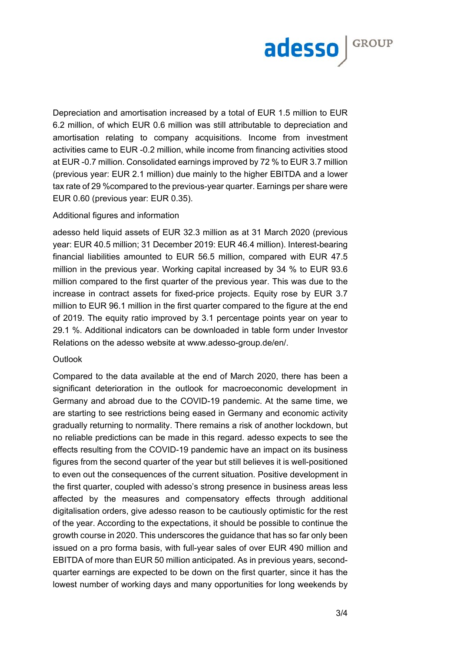

Depreciation and amortisation increased by a total of EUR 1.5 million to EUR 6.2 million, of which EUR 0.6 million was still attributable to depreciation and amortisation relating to company acquisitions. Income from investment activities came to EUR -0.2 million, while income from financing activities stood at EUR -0.7 million. Consolidated earnings improved by 72 % to EUR 3.7 million (previous year: EUR 2.1 million) due mainly to the higher EBITDA and a lower tax rate of 29 %compared to the previous-year quarter. Earnings per share were EUR 0.60 (previous year: EUR 0.35).

#### Additional figures and information

adesso held liquid assets of EUR 32.3 million as at 31 March 2020 (previous year: EUR 40.5 million; 31 December 2019: EUR 46.4 million). Interest-bearing financial liabilities amounted to EUR 56.5 million, compared with EUR 47.5 million in the previous year. Working capital increased by 34 % to EUR 93.6 million compared to the first quarter of the previous year. This was due to the increase in contract assets for fixed-price projects. Equity rose by EUR 3.7 million to EUR 96.1 million in the first quarter compared to the figure at the end of 2019. The equity ratio improved by 3.1 percentage points year on year to 29.1 %. Additional indicators can be downloaded in table form under Investor Relations on the adesso website at www.adesso-group.de/en/.

#### **Outlook**

Compared to the data available at the end of March 2020, there has been a significant deterioration in the outlook for macroeconomic development in Germany and abroad due to the COVID-19 pandemic. At the same time, we are starting to see restrictions being eased in Germany and economic activity gradually returning to normality. There remains a risk of another lockdown, but no reliable predictions can be made in this regard. adesso expects to see the effects resulting from the COVID-19 pandemic have an impact on its business figures from the second quarter of the year but still believes it is well-positioned to even out the consequences of the current situation. Positive development in the first quarter, coupled with adesso's strong presence in business areas less affected by the measures and compensatory effects through additional digitalisation orders, give adesso reason to be cautiously optimistic for the rest of the year. According to the expectations, it should be possible to continue the growth course in 2020. This underscores the guidance that has so far only been issued on a pro forma basis, with full-year sales of over EUR 490 million and EBITDA of more than EUR 50 million anticipated. As in previous years, secondquarter earnings are expected to be down on the first quarter, since it has the lowest number of working days and many opportunities for long weekends by